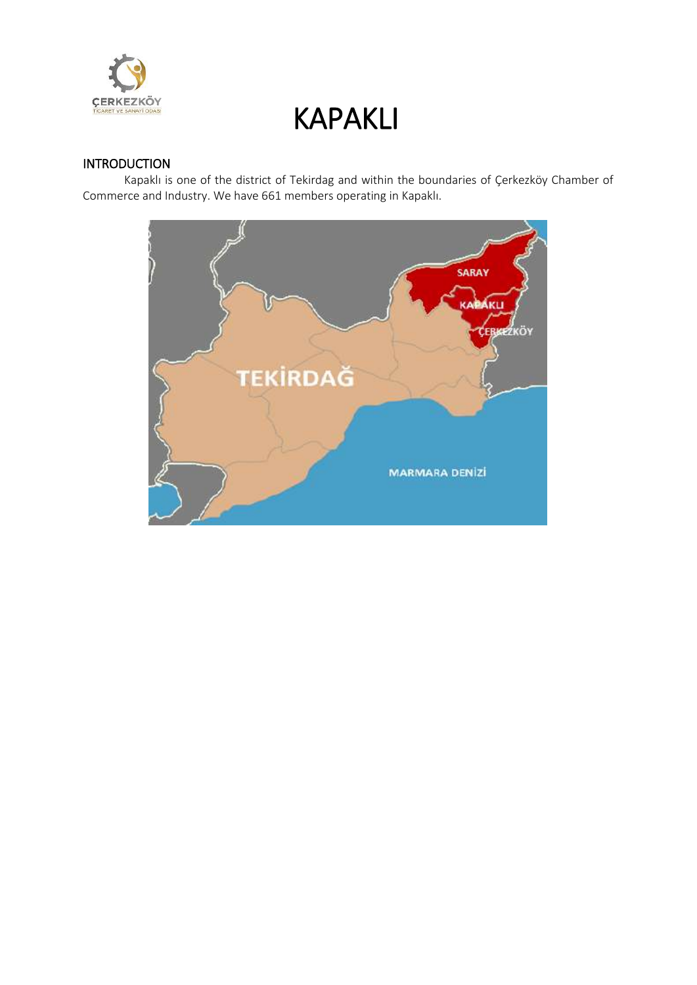

### **INTRODUCTION**

Kapaklı is one of the district of Tekirdag and within the boundaries of Çerkezköy Chamber of Commerce and Industry. We have 661 members operating in Kapaklı.

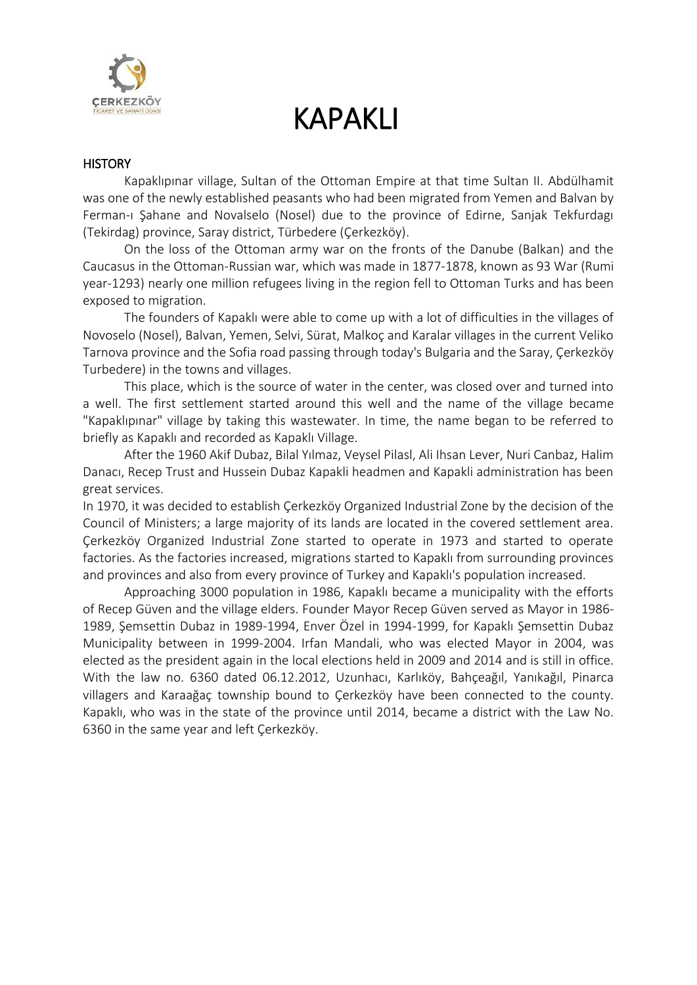

#### **HISTORY**

Kapaklıpınar village, Sultan of the Ottoman Empire at that time Sultan II. Abdülhamit was one of the newly established peasants who had been migrated from Yemen and Balvan by Ferman-ı Şahane and Novalselo (Nosel) due to the province of Edirne, Sanjak Tekfurdagı (Tekirdag) province, Saray district, Türbedere (Çerkezköy).

On the loss of the Ottoman army war on the fronts of the Danube (Balkan) and the Caucasus in the Ottoman-Russian war, which was made in 1877-1878, known as 93 War (Rumi year-1293) nearly one million refugees living in the region fell to Ottoman Turks and has been exposed to migration.

The founders of Kapaklı were able to come up with a lot of difficulties in the villages of Novoselo (Nosel), Balvan, Yemen, Selvi, Sürat, Malkoç and Karalar villages in the current Veliko Tarnova province and the Sofia road passing through today's Bulgaria and the Saray, Çerkezköy Turbedere) in the towns and villages.

This place, which is the source of water in the center, was closed over and turned into a well. The first settlement started around this well and the name of the village became "Kapaklıpınar" village by taking this wastewater. In time, the name began to be referred to briefly as Kapaklı and recorded as Kapaklı Village.

After the 1960 Akif Dubaz, Bilal Yılmaz, Veysel Pilasl, Ali Ihsan Lever, Nuri Canbaz, Halim Danacı, Recep Trust and Hussein Dubaz Kapakli headmen and Kapakli administration has been great services.

In 1970, it was decided to establish Çerkezköy Organized Industrial Zone by the decision of the Council of Ministers; a large majority of its lands are located in the covered settlement area. Çerkezköy Organized Industrial Zone started to operate in 1973 and started to operate factories. As the factories increased, migrations started to Kapaklı from surrounding provinces and provinces and also from every province of Turkey and Kapaklı's population increased.

Approaching 3000 population in 1986, Kapaklı became a municipality with the efforts of Recep Güven and the village elders. Founder Mayor Recep Güven served as Mayor in 1986- 1989, Şemsettin Dubaz in 1989-1994, Enver Özel in 1994-1999, for Kapaklı Şemsettin Dubaz Municipality between in 1999-2004. Irfan Mandali, who was elected Mayor in 2004, was elected as the president again in the local elections held in 2009 and 2014 and is still in office. With the law no. 6360 dated 06.12.2012, Uzunhacı, Karlıköy, Bahçeağıl, Yanıkağıl, Pinarca villagers and Karaağaç township bound to Çerkezköy have been connected to the county. Kapaklı, who was in the state of the province until 2014, became a district with the Law No. 6360 in the same year and left Çerkezköy.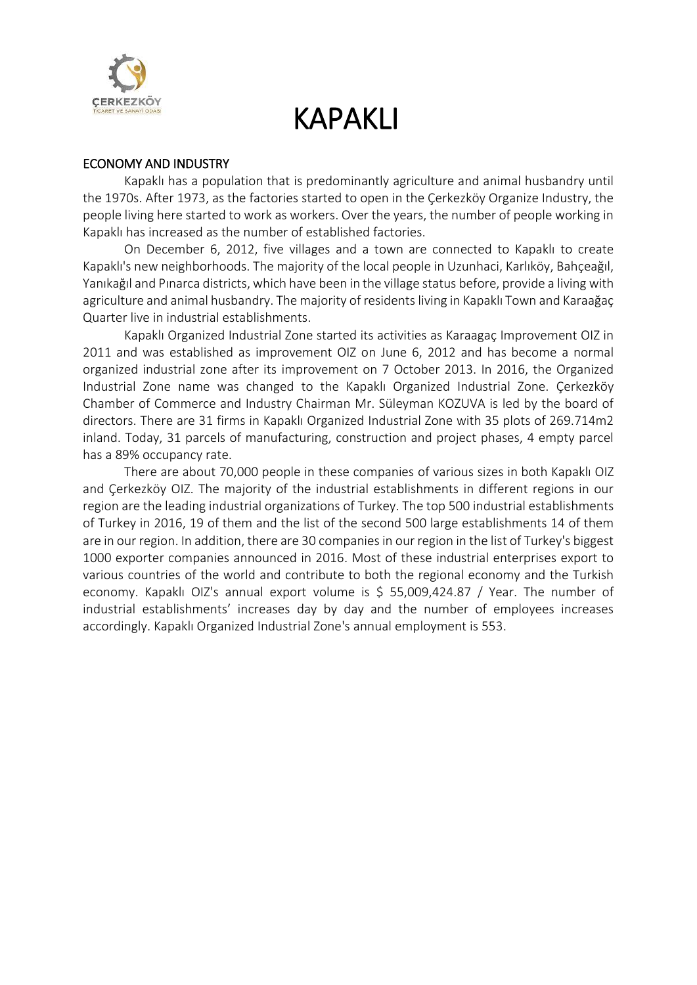

#### ECONOMY AND INDUSTRY

Kapaklı has a population that is predominantly agriculture and animal husbandry until the 1970s. After 1973, as the factories started to open in the Çerkezköy Organize Industry, the people living here started to work as workers. Over the years, the number of people working in Kapaklı has increased as the number of established factories.

On December 6, 2012, five villages and a town are connected to Kapaklı to create Kapaklı's new neighborhoods. The majority of the local people in Uzunhaci, Karlıköy, Bahçeağıl, Yanıkağıl and Pınarca districts, which have been in the village status before, provide a living with agriculture and animal husbandry. The majority of residents living in Kapaklı Town and Karaağaç Quarter live in industrial establishments.

Kapaklı Organized Industrial Zone started its activities as Karaagaç Improvement OIZ in 2011 and was established as improvement OIZ on June 6, 2012 and has become a normal organized industrial zone after its improvement on 7 October 2013. In 2016, the Organized Industrial Zone name was changed to the Kapaklı Organized Industrial Zone. Çerkezköy Chamber of Commerce and Industry Chairman Mr. Süleyman KOZUVA is led by the board of directors. There are 31 firms in Kapaklı Organized Industrial Zone with 35 plots of 269.714m2 inland. Today, 31 parcels of manufacturing, construction and project phases, 4 empty parcel has a 89% occupancy rate.

There are about 70,000 people in these companies of various sizes in both Kapaklı OIZ and Çerkezköy OIZ. The majority of the industrial establishments in different regions in our region are the leading industrial organizations of Turkey. The top 500 industrial establishments of Turkey in 2016, 19 of them and the list of the second 500 large establishments 14 of them are in our region. In addition, there are 30 companies in our region in the list of Turkey's biggest 1000 exporter companies announced in 2016. Most of these industrial enterprises export to various countries of the world and contribute to both the regional economy and the Turkish economy. Kapaklı OIZ's annual export volume is \$ 55,009,424.87 / Year. The number of industrial establishments' increases day by day and the number of employees increases accordingly. Kapaklı Organized Industrial Zone's annual employment is 553.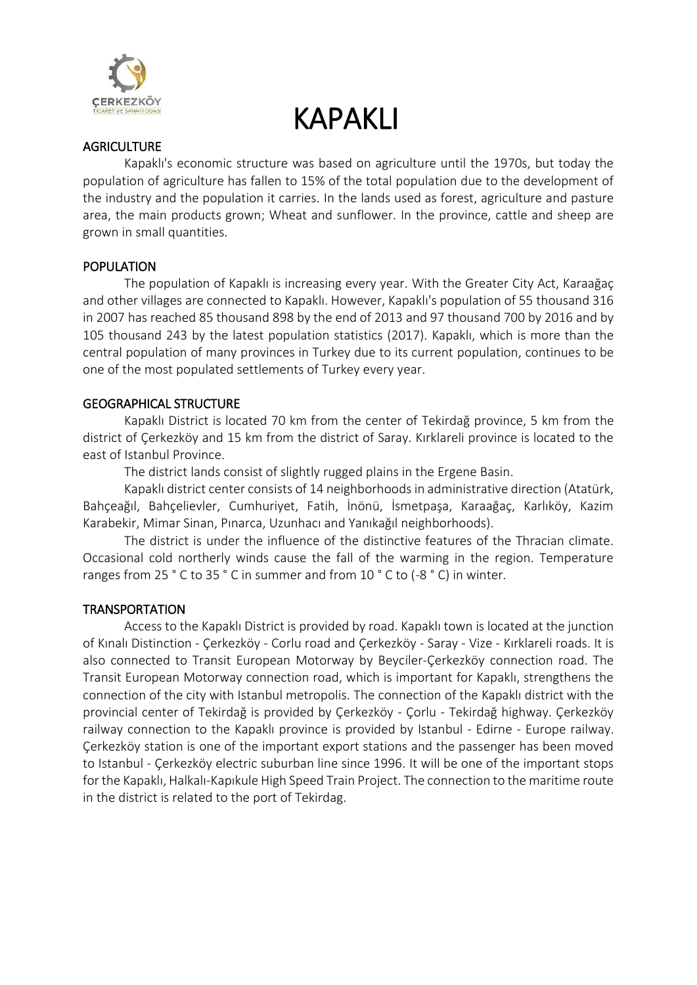

#### **AGRICULTURE**

Kapaklı's economic structure was based on agriculture until the 1970s, but today the population of agriculture has fallen to 15% of the total population due to the development of the industry and the population it carries. In the lands used as forest, agriculture and pasture area, the main products grown; Wheat and sunflower. In the province, cattle and sheep are grown in small quantities.

#### POPULATION

The population of Kapaklı is increasing every year. With the Greater City Act, Karaağaç and other villages are connected to Kapaklı. However, Kapaklı's population of 55 thousand 316 in 2007 has reached 85 thousand 898 by the end of 2013 and 97 thousand 700 by 2016 and by 105 thousand 243 by the latest population statistics (2017). Kapaklı, which is more than the central population of many provinces in Turkey due to its current population, continues to be one of the most populated settlements of Turkey every year.

### GEOGRAPHICAL STRUCTURE

Kapaklı District is located 70 km from the center of Tekirdağ province, 5 km from the district of Çerkezköy and 15 km from the district of Saray. Kırklareli province is located to the east of Istanbul Province.

The district lands consist of slightly rugged plains in the Ergene Basin.

Kapaklı district center consists of 14 neighborhoods in administrative direction (Atatürk, Bahçeağıl, Bahçelievler, Cumhuriyet, Fatih, İnönü, İsmetpaşa, Karaağaç, Karlıköy, Kazim Karabekir, Mimar Sinan, Pınarca, Uzunhacı and Yanıkağıl neighborhoods).

The district is under the influence of the distinctive features of the Thracian climate. Occasional cold northerly winds cause the fall of the warming in the region. Temperature ranges from 25 ° C to 35 ° C in summer and from 10 ° C to (-8 ° C) in winter.

### **TRANSPORTATION**

Access to the Kapaklı District is provided by road. Kapaklı town is located at the junction of Kınalı Distinction - Çerkezköy - Corlu road and Çerkezköy - Saray - Vize - Kırklareli roads. It is also connected to Transit European Motorway by Beyciler-Çerkezköy connection road. The Transit European Motorway connection road, which is important for Kapaklı, strengthens the connection of the city with Istanbul metropolis. The connection of the Kapaklı district with the provincial center of Tekirdağ is provided by Çerkezköy - Çorlu - Tekirdağ highway. Çerkezköy railway connection to the Kapaklı province is provided by Istanbul - Edirne - Europe railway. Çerkezköy station is one of the important export stations and the passenger has been moved to Istanbul - Çerkezköy electric suburban line since 1996. It will be one of the important stops for the Kapaklı, Halkalı-Kapıkule High Speed Train Project. The connection to the maritime route in the district is related to the port of Tekirdag.